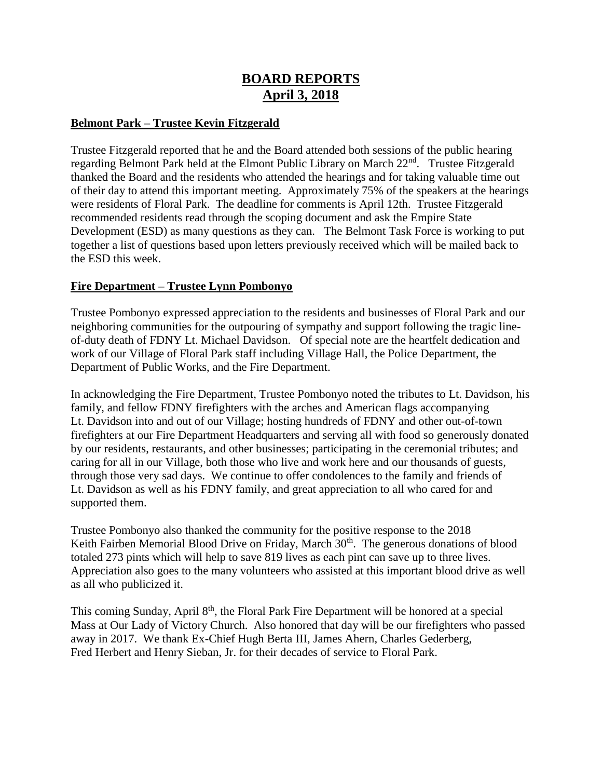# **BOARD REPORTS April 3, 2018**

## **Belmont Park – Trustee Kevin Fitzgerald**

Trustee Fitzgerald reported that he and the Board attended both sessions of the public hearing regarding Belmont Park held at the Elmont Public Library on March 22<sup>nd</sup>. Trustee Fitzgerald thanked the Board and the residents who attended the hearings and for taking valuable time out of their day to attend this important meeting. Approximately 75% of the speakers at the hearings were residents of Floral Park. The deadline for comments is April 12th. Trustee Fitzgerald recommended residents read through the scoping document and ask the Empire State Development (ESD) as many questions as they can. The Belmont Task Force is working to put together a list of questions based upon letters previously received which will be mailed back to the ESD this week.

## **Fire Department – Trustee Lynn Pombonyo**

Trustee Pombonyo expressed appreciation to the residents and businesses of Floral Park and our neighboring communities for the outpouring of sympathy and support following the tragic lineof-duty death of FDNY Lt. Michael Davidson. Of special note are the heartfelt dedication and work of our Village of Floral Park staff including Village Hall, the Police Department, the Department of Public Works, and the Fire Department.

In acknowledging the Fire Department, Trustee Pombonyo noted the tributes to Lt. Davidson, his family, and fellow FDNY firefighters with the arches and American flags accompanying Lt. Davidson into and out of our Village; hosting hundreds of FDNY and other out-of-town firefighters at our Fire Department Headquarters and serving all with food so generously donated by our residents, restaurants, and other businesses; participating in the ceremonial tributes; and caring for all in our Village, both those who live and work here and our thousands of guests, through those very sad days. We continue to offer condolences to the family and friends of Lt. Davidson as well as his FDNY family, and great appreciation to all who cared for and supported them.

Trustee Pombonyo also thanked the community for the positive response to the 2018 Keith Fairben Memorial Blood Drive on Friday, March 30<sup>th</sup>. The generous donations of blood totaled 273 pints which will help to save 819 lives as each pint can save up to three lives. Appreciation also goes to the many volunteers who assisted at this important blood drive as well as all who publicized it.

This coming Sunday, April 8<sup>th</sup>, the Floral Park Fire Department will be honored at a special Mass at Our Lady of Victory Church. Also honored that day will be our firefighters who passed away in 2017. We thank Ex-Chief Hugh Berta III, James Ahern, Charles Gederberg, Fred Herbert and Henry Sieban, Jr. for their decades of service to Floral Park.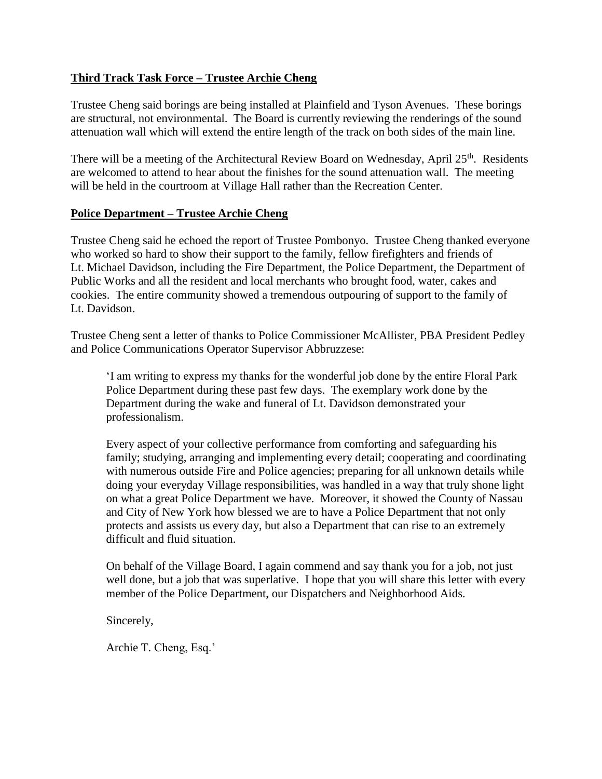# **Third Track Task Force – Trustee Archie Cheng**

Trustee Cheng said borings are being installed at Plainfield and Tyson Avenues. These borings are structural, not environmental. The Board is currently reviewing the renderings of the sound attenuation wall which will extend the entire length of the track on both sides of the main line.

There will be a meeting of the Architectural Review Board on Wednesday, April  $25<sup>th</sup>$ . Residents are welcomed to attend to hear about the finishes for the sound attenuation wall. The meeting will be held in the courtroom at Village Hall rather than the Recreation Center.

#### **Police Department – Trustee Archie Cheng**

Trustee Cheng said he echoed the report of Trustee Pombonyo. Trustee Cheng thanked everyone who worked so hard to show their support to the family, fellow firefighters and friends of Lt. Michael Davidson, including the Fire Department, the Police Department, the Department of Public Works and all the resident and local merchants who brought food, water, cakes and cookies. The entire community showed a tremendous outpouring of support to the family of Lt. Davidson.

Trustee Cheng sent a letter of thanks to Police Commissioner McAllister, PBA President Pedley and Police Communications Operator Supervisor Abbruzzese:

'I am writing to express my thanks for the wonderful job done by the entire Floral Park Police Department during these past few days. The exemplary work done by the Department during the wake and funeral of Lt. Davidson demonstrated your professionalism.

Every aspect of your collective performance from comforting and safeguarding his family; studying, arranging and implementing every detail; cooperating and coordinating with numerous outside Fire and Police agencies; preparing for all unknown details while doing your everyday Village responsibilities, was handled in a way that truly shone light on what a great Police Department we have. Moreover, it showed the County of Nassau and City of New York how blessed we are to have a Police Department that not only protects and assists us every day, but also a Department that can rise to an extremely difficult and fluid situation.

On behalf of the Village Board, I again commend and say thank you for a job, not just well done, but a job that was superlative. I hope that you will share this letter with every member of the Police Department, our Dispatchers and Neighborhood Aids.

Sincerely,

Archie T. Cheng, Esq.'